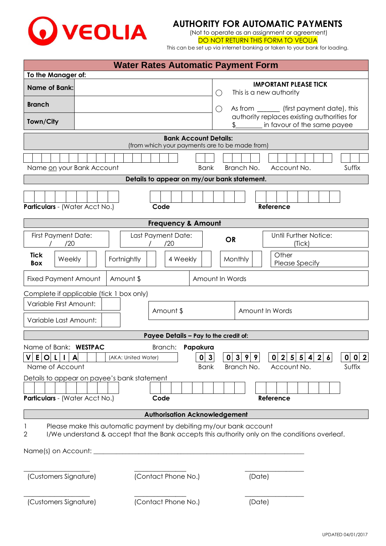

## **AUTHORITY FOR AUTOMATIC PAYMENTS**

(Not to operate as an assignment or agreement) DO NOT RETURN THIS FORM TO VEOLIA

This can be set up via internet banking or taken to your bank for loading.

|                                                                                                                   | <b>Water Rates Automatic Payment Form</b>                                      |                                                                                                                            |
|-------------------------------------------------------------------------------------------------------------------|--------------------------------------------------------------------------------|----------------------------------------------------------------------------------------------------------------------------|
| To the Manager of:                                                                                                |                                                                                |                                                                                                                            |
| <b>Name of Bank:</b>                                                                                              | $\bigcirc$                                                                     | <b>IMPORTANT PLEASE TICK</b><br>This is a new authority                                                                    |
| <b>Branch</b><br>Town/City                                                                                        | $\bigcirc$                                                                     | As from _________ (first payment date), this<br>authority replaces existing authorities for<br>in favour of the same payee |
|                                                                                                                   | <b>Bank Account Details:</b>                                                   |                                                                                                                            |
|                                                                                                                   | (from which your payments are to be made from)                                 |                                                                                                                            |
| Name on your Bank Account                                                                                         | <b>Bank</b>                                                                    | Account No.<br>Suffix<br>Branch No.                                                                                        |
|                                                                                                                   | Details to appear on my/our bank statement.                                    |                                                                                                                            |
| Particulars - (Water Acct No.)                                                                                    | Code                                                                           | Reference                                                                                                                  |
|                                                                                                                   | <b>Frequency &amp; Amount</b>                                                  |                                                                                                                            |
| <b>First Payment Date:</b><br>/20                                                                                 | Last Payment Date:<br>/20                                                      | Until Further Notice:<br><b>OR</b><br>(Tick)                                                                               |
| <b>Tick</b><br>Weekly<br><b>Box</b>                                                                               | Fortnightly<br>4 Weekly                                                        | Other<br>Monthly<br>Please Specify                                                                                         |
| <b>Fixed Payment Amount</b>                                                                                       | Amount \$                                                                      | Amount In Words                                                                                                            |
| Complete if applicable (tick 1 box only)                                                                          |                                                                                |                                                                                                                            |
| Variable First Amount:                                                                                            |                                                                                |                                                                                                                            |
| Variable Last Amount:                                                                                             | Amount \$                                                                      | Amount In Words                                                                                                            |
|                                                                                                                   | Payee Details - Pay to the credit of:                                          |                                                                                                                            |
| Name of Bank: WESTPAC<br>E.<br>$\mathbf O$<br>A<br>Name of Account<br>Details to appear on payee's bank statement | Papakura<br>Branch:<br>3<br>$\mathbf{0}$<br>(AKA: United Water)<br><b>Bank</b> | 0 0 2 <br>0 3 <br>0 2 5 5 4<br>2 <sub>l</sub><br>9<br>9<br>$\boldsymbol{6}$<br>Suffix<br>Branch No.<br>Account No.         |
| Particulars - (Water Acct No.)                                                                                    | Code                                                                           | Reference                                                                                                                  |
|                                                                                                                   | <b>Authorisation Acknowledgement</b>                                           |                                                                                                                            |
| $\overline{2}$                                                                                                    | Please make this automatic payment by debiting my/our bank account             | I/We understand & accept that the Bank accepts this authority only on the conditions overleaf.                             |
| (Customers Signature)                                                                                             | (Contact Phone No.)                                                            | (Date)                                                                                                                     |
| (Customers Signature)                                                                                             | (Contact Phone No.)                                                            | (Date)                                                                                                                     |